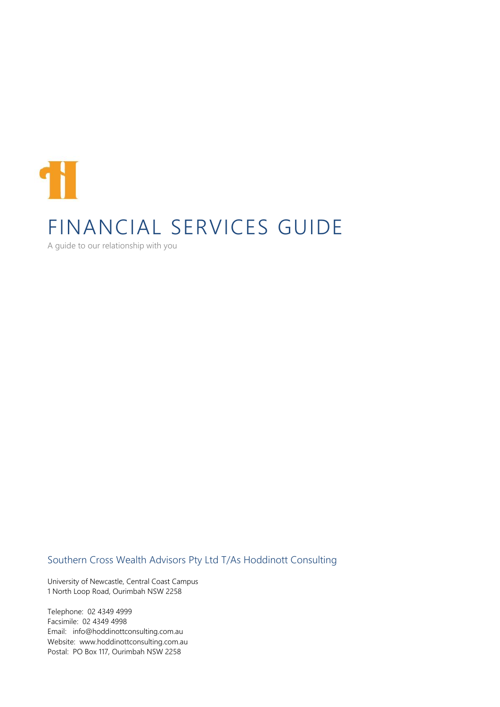

## Southern Cross Wealth Advisors Pty Ltd T/As Hoddinott Consulting

University of Newcastle, Central Coast Campus 1 North Loop Road, Ourimbah NSW 2258

Telephone: 02 4349 4999 Facsimile: 02 4349 4998 Email: info@hoddinottconsulting.com.au Website: www.hoddinottconsulting.com.au Postal: PO Box 117, Ourimbah NSW 2258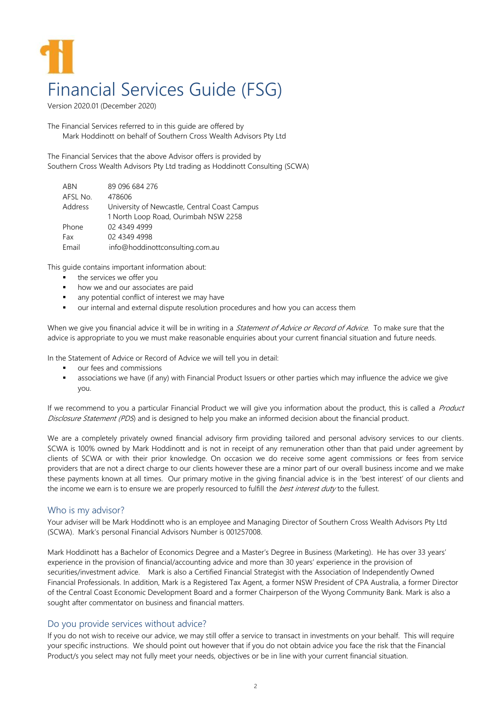# Financial Services Guide (FSG)

Version 2020.01 (December 2020)

The Financial Services referred to in this guide are offered by Mark Hoddinott on behalf of Southern Cross Wealth Advisors Pty Ltd

The Financial Services that the above Advisor offers is provided by Southern Cross Wealth Advisors Pty Ltd trading as Hoddinott Consulting (SCWA)

| ABN      | 89 096 684 276                                |
|----------|-----------------------------------------------|
| AFSL No. | 478606                                        |
| Address  | University of Newcastle, Central Coast Campus |
|          | 1 North Loop Road, Ourimbah NSW 2258          |
| Phone    | 02 4349 4999                                  |
| Fax      | 02 4349 4998                                  |
| Email    | info@hoddinottconsulting.com.au               |

This guide contains important information about:

- the services we offer you
- how we and our associates are paid
- **a** any potential conflict of interest we may have
- our internal and external dispute resolution procedures and how you can access them

When we give you financial advice it will be in writing in a *Statement of Advice or Record of Advice.* To make sure that the advice is appropriate to you we must make reasonable enquiries about your current financial situation and future needs.

In the Statement of Advice or Record of Advice we will tell you in detail:

- our fees and commissions
- associations we have (if any) with Financial Product Issuers or other parties which may influence the advice we give you.

If we recommend to you a particular Financial Product we will give you information about the product, this is called a *Product Disclosure Statement (PDS*) and is designed to help you make an informed decision about the financial product.

We are a completely privately owned financial advisory firm providing tailored and personal advisory services to our clients. SCWA is 100% owned by Mark Hoddinott and is not in receipt of any remuneration other than that paid under agreement by clients of SCWA or with their prior knowledge. On occasion we do receive some agent commissions or fees from service providers that are not a direct charge to our clients however these are a minor part of our overall business income and we make these payments known at all times. Our primary motive in the giving financial advice is in the 'best interest' of our clients and the income we earn is to ensure we are properly resourced to fulfill the *best interest duty* to the fullest.

#### Who is my advisor?

Your adviser will be Mark Hoddinott who is an employee and Managing Director of Southern Cross Wealth Advisors Pty Ltd (SCWA). Mark's personal Financial Advisors Number is 001257008.

Mark Hoddinott has a Bachelor of Economics Degree and a Master's Degree in Business (Marketing). He has over 33 years' experience in the provision of financial/accounting advice and more than 30 years' experience in the provision of securities/investment advice. Mark is also a Certified Financial Strategist with the Association of Independently Owned Financial Professionals. In addition, Mark is a Registered Tax Agent, a former NSW President of CPA Australia, a former Director of the Central Coast Economic Development Board and a former Chairperson of the Wyong Community Bank. Mark is also a sought after commentator on business and financial matters.

#### Do you provide services without advice?

If you do not wish to receive our advice, we may still offer a service to transact in investments on your behalf. This will require your specific instructions. We should point out however that if you do not obtain advice you face the risk that the Financial Product/s you select may not fully meet your needs, objectives or be in line with your current financial situation.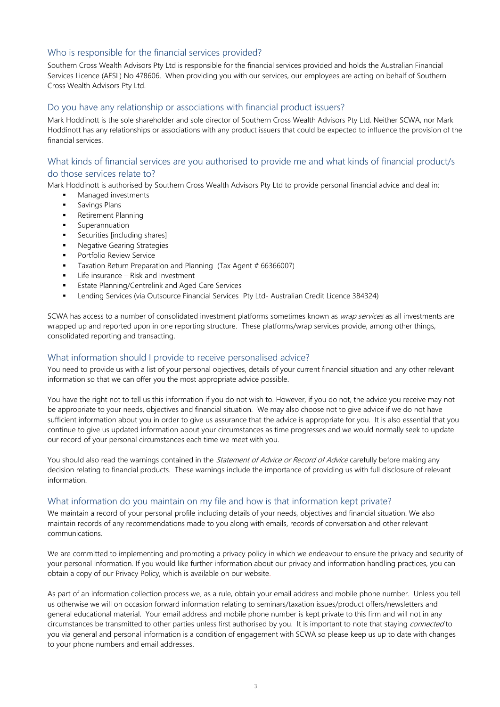#### Who is responsible for the financial services provided?

Southern Cross Wealth Advisors Pty Ltd is responsible for the financial services provided and holds the Australian Financial Services Licence (AFSL) No 478606. When providing you with our services, our employees are acting on behalf of Southern Cross Wealth Advisors Pty Ltd.

#### Do you have any relationship or associations with financial product issuers?

Mark Hoddinott is the sole shareholder and sole director of Southern Cross Wealth Advisors Pty Ltd. Neither SCWA, nor Mark Hoddinott has any relationships or associations with any product issuers that could be expected to influence the provision of the financial services.

#### What kinds of financial services are you authorised to provide me and what kinds of financial product/s do those services relate to?

Mark Hoddinott is authorised by Southern Cross Wealth Advisors Pty Ltd to provide personal financial advice and deal in:

- Managed investments
- Savings Plans
- **Retirement Planning**
- **Superannuation**
- Securities [including shares]
- Negative Gearing Strategies
- **Portfolio Review Service**
- Taxation Return Preparation and Planning (Tax Agent # 66366007)
- Life insurance Risk and Investment
- Estate Planning/Centrelink and Aged Care Services
- Lending Services (via Outsource Financial Services Pty Ltd- Australian Credit Licence 384324)

SCWA has access to a number of consolidated investment platforms sometimes known as *wrap services* as all investments are wrapped up and reported upon in one reporting structure. These platforms/wrap services provide, among other things, consolidated reporting and transacting.

### What information should I provide to receive personalised advice?

You need to provide us with a list of your personal objectives, details of your current financial situation and any other relevant information so that we can offer you the most appropriate advice possible.

You have the right not to tell us this information if you do not wish to. However, if you do not, the advice you receive may not be appropriate to your needs, objectives and financial situation. We may also choose not to give advice if we do not have sufficient information about you in order to give us assurance that the advice is appropriate for you. It is also essential that you continue to give us updated information about your circumstances as time progresses and we would normally seek to update our record of your personal circumstances each time we meet with you.

You should also read the warnings contained in the *Statement of Advice or Record of Advice* carefully before making any decision relating to financial products. These warnings include the importance of providing us with full disclosure of relevant information.

#### What information do you maintain on my file and how is that information kept private?

We maintain a record of your personal profile including details of your needs, objectives and financial situation. We also maintain records of any recommendations made to you along with emails, records of conversation and other relevant communications.

We are committed to implementing and promoting a privacy policy in which we endeavour to ensure the privacy and security of your personal information. If you would like further information about our privacy and information handling practices, you can obtain a copy of our Privacy Policy, which is available on our website.

As part of an information collection process we, as a rule, obtain your email address and mobile phone number. Unless you tell us otherwise we will on occasion forward information relating to seminars/taxation issues/product offers/newsletters and general educational material. Your email address and mobile phone number is kept private to this firm and will not in any circumstances be transmitted to other parties unless first authorised by you. It is important to note that staying *connected* to you via general and personal information is a condition of engagement with SCWA so please keep us up to date with changes to your phone numbers and email addresses.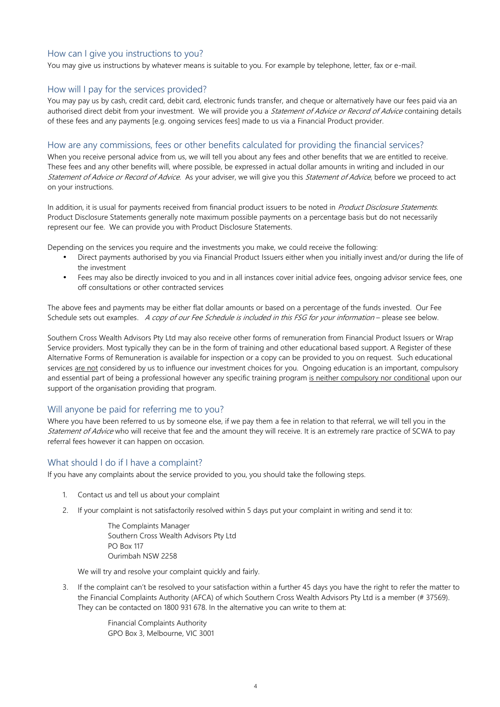### How can I give you instructions to you?

You may give us instructions by whatever means is suitable to you. For example by telephone, letter, fax or e-mail.

#### How will I pay for the services provided?

You may pay us by cash, credit card, debit card, electronic funds transfer, and cheque or alternatively have our fees paid via an authorised direct debit from your investment. We will provide you a *Statement of Advice or Record of Advice* containing details of these fees and any payments [e.g. ongoing services fees] made to us via a Financial Product provider.

#### How are any commissions, fees or other benefits calculated for providing the financial services?

When you receive personal advice from us, we will tell you about any fees and other benefits that we are entitled to receive. These fees and any other benefits will, where possible, be expressed in actual dollar amounts in writing and included in our *Statement of Advice or Record of Advice.* As your adviser, we will give you this *Statement of Advice*, before we proceed to act on your instructions.

In addition, it is usual for payments received from financial product issuers to be noted in *Product Disclosure Statements*. Product Disclosure Statements generally note maximum possible payments on a percentage basis but do not necessarily represent our fee. We can provide you with Product Disclosure Statements.

Depending on the services you require and the investments you make, we could receive the following:

- Direct payments authorised by you via Financial Product Issuers either when you initially invest and/or during the life of the investment
- Fees may also be directly invoiced to you and in all instances cover initial advice fees, ongoing advisor service fees, one off consultations or other contracted services

The above fees and payments may be either flat dollar amounts or based on a percentage of the funds invested. Our Fee Schedule sets out examples*. A copy of our Fee Schedule is included in this FSG for your information* – please see below.

Southern Cross Wealth Advisors Pty Ltd may also receive other forms of remuneration from Financial Product Issuers or Wrap Service providers. Most typically they can be in the form of training and other educational based support. A Register of these Alternative Forms of Remuneration is available for inspection or a copy can be provided to you on request. Such educational services are not considered by us to influence our investment choices for you. Ongoing education is an important, compulsory and essential part of being a professional however any specific training program is neither compulsory nor conditional upon our support of the organisation providing that program.

#### Will anyone be paid for referring me to you?

Where you have been referred to us by someone else, if we pay them a fee in relation to that referral, we will tell you in the *Statement of Advice* who will receive that fee and the amount they will receive. It is an extremely rare practice of SCWA to pay referral fees however it can happen on occasion.

#### What should I do if I have a complaint?

If you have any complaints about the service provided to you, you should take the following steps.

- 1. Contact us and tell us about your complaint
- 2. If your complaint is not satisfactorily resolved within 5 days put your complaint in writing and send it to:

The Complaints Manager Southern Cross Wealth Advisors Pty Ltd PO Box 117 Ourimbah NSW 2258

We will try and resolve your complaint quickly and fairly.

3. If the complaint can't be resolved to your satisfaction within a further 45 days you have the right to refer the matter to the Financial Complaints Authority (AFCA) of which Southern Cross Wealth Advisors Pty Ltd is a member (# 37569). They can be contacted on 1800 931 678. In the alternative you can write to them at:

> Financial Complaints Authority GPO Box 3, Melbourne, VIC 3001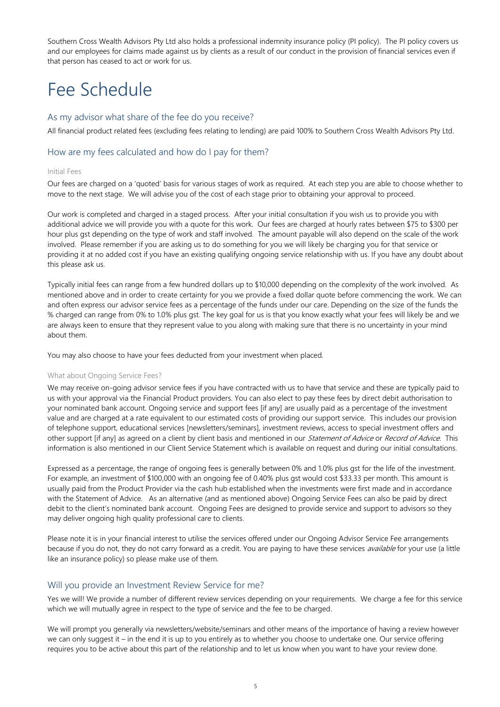Southern Cross Wealth Advisors Pty Ltd also holds a professional indemnity insurance policy (PI policy). The PI policy covers us and our employees for claims made against us by clients as a result of our conduct in the provision of financial services even if that person has ceased to act or work for us.

# Fee Schedule

#### As my advisor what share of the fee do you receive?

All financial product related fees (excluding fees relating to lending) are paid 100% to Southern Cross Wealth Advisors Pty Ltd.

#### How are my fees calculated and how do I pay for them?

#### Initial Fees

Our fees are charged on a 'quoted' basis for various stages of work as required. At each step you are able to choose whether to move to the next stage. We will advise you of the cost of each stage prior to obtaining your approval to proceed.

Our work is completed and charged in a staged process. After your initial consultation if you wish us to provide you with additional advice we will provide you with a quote for this work. Our fees are charged at hourly rates between \$75 to \$300 per hour plus gst depending on the type of work and staff involved. The amount payable will also depend on the scale of the work involved. Please remember if you are asking us to do something for you we will likely be charging you for that service or providing it at no added cost if you have an existing qualifying ongoing service relationship with us. If you have any doubt about this please ask us.

Typically initial fees can range from a few hundred dollars up to \$10,000 depending on the complexity of the work involved. As mentioned above and in order to create certainty for you we provide a fixed dollar quote before commencing the work. We can and often express our advisor service fees as a percentage of the funds under our care. Depending on the size of the funds the % charged can range from 0% to 1.0% plus gst. The key goal for us is that you know exactly what your fees will likely be and we are always keen to ensure that they represent value to you along with making sure that there is no uncertainty in your mind about them.

You may also choose to have your fees deducted from your investment when placed.

#### What about Ongoing Service Fees?

We may receive on-going advisor service fees if you have contracted with us to have that service and these are typically paid to us with your approval via the Financial Product providers. You can also elect to pay these fees by direct debit authorisation to your nominated bank account. Ongoing service and support fees [if any] are usually paid as a percentage of the investment value and are charged at a rate equivalent to our estimated costs of providing our support service. This includes our provision of telephone support, educational services [newsletters/seminars], investment reviews, access to special investment offers and other support [if any] as agreed on a client by client basis and mentioned in our *Statement of Advice* or *Record of Advice*. This information is also mentioned in our Client Service Statement which is available on request and during our initial consultations.

Expressed as a percentage, the range of ongoing fees is generally between 0% and 1.0% plus gst for the life of the investment. For example, an investment of \$100,000 with an ongoing fee of 0.40% plus gst would cost \$33.33 per month. This amount is usually paid from the Product Provider via the cash hub established when the investments were first made and in accordance with the Statement of Advice. As an alternative (and as mentioned above) Ongoing Service Fees can also be paid by direct debit to the client's nominated bank account. Ongoing Fees are designed to provide service and support to advisors so they may deliver ongoing high quality professional care to clients.

Please note it is in your financial interest to utilise the services offered under our Ongoing Advisor Service Fee arrangements because if you do not, they do not carry forward as a credit. You are paying to have these services *available* for your use (a little like an insurance policy) so please make use of them.

#### Will you provide an Investment Review Service for me?

Yes we will! We provide a number of different review services depending on your requirements. We charge a fee for this service which we will mutually agree in respect to the type of service and the fee to be charged.

We will prompt you generally via newsletters/website/seminars and other means of the importance of having a review however we can only suggest it – in the end it is up to you entirely as to whether you choose to undertake one. Our service offering requires you to be active about this part of the relationship and to let us know when you want to have your review done.